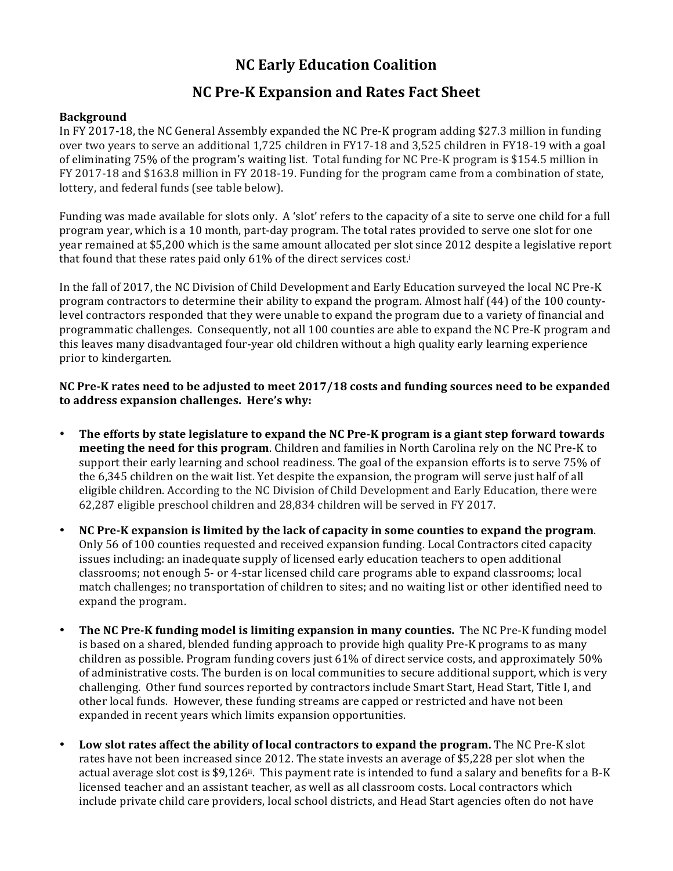# **NC Early Education Coalition**

## **NC Pre-K Expansion and Rates Fact Sheet**

### **Background**

In FY 2017-18, the NC General Assembly expanded the NC Pre-K program adding \$27.3 million in funding over two years to serve an additional  $1,725$  children in FY17-18 and  $3,525$  children in FY18-19 with a goal of eliminating 75% of the program's waiting list. Total funding for NC Pre-K program is \$154.5 million in FY 2017-18 and \$163.8 million in FY 2018-19. Funding for the program came from a combination of state, lottery, and federal funds (see table below).

Funding was made available for slots only. A 'slot' refers to the capacity of a site to serve one child for a full program year, which is a 10 month, part-day program. The total rates provided to serve one slot for one year remained at \$5,200 which is the same amount allocated per slot since 2012 despite a legislative report that found that these rates paid only  $61\%$  of the direct services cost.<sup>i</sup>

In the fall of 2017, the NC Division of Child Development and Early Education surveyed the local NC Pre-K program contractors to determine their ability to expand the program. Almost half (44) of the 100 countylevel contractors responded that they were unable to expand the program due to a variety of financial and programmatic challenges. Consequently, not all 100 counties are able to expand the NC Pre-K program and this leaves many disadvantaged four-year old children without a high quality early learning experience prior to kindergarten.

**NC Pre-K** rates need to be adjusted to meet 2017/18 costs and funding sources need to be expanded to address expansion challenges. Here's why:

- **The efforts by state legislature to expand the NC Pre-K program is a giant step forward towards meeting the need for this program**. Children and families in North Carolina rely on the NC Pre-K to support their early learning and school readiness. The goal of the expansion efforts is to serve 75% of the 6,345 children on the wait list. Yet despite the expansion, the program will serve just half of all eligible children. According to the NC Division of Child Development and Early Education, there were 62,287 eligible preschool children and 28,834 children will be served in FY 2017.
- NC Pre-K expansion is limited by the lack of capacity in some counties to expand the program. Only 56 of 100 counties requested and received expansion funding. Local Contractors cited capacity issues including: an inadequate supply of licensed early education teachers to open additional classrooms; not enough 5- or 4-star licensed child care programs able to expand classrooms; local match challenges; no transportation of children to sites; and no waiting list or other identified need to expand the program.
- **The NC Pre-K funding model is limiting expansion in many counties. The NC Pre-K funding model** is based on a shared, blended funding approach to provide high quality Pre-K programs to as many children as possible. Program funding covers just  $61\%$  of direct service costs, and approximately  $50\%$ of administrative costs. The burden is on local communities to secure additional support, which is very challenging. Other fund sources reported by contractors include Smart Start, Head Start, Title I, and other local funds. However, these funding streams are capped or restricted and have not been expanded in recent years which limits expansion opportunities.
- **Low slot rates affect the ability of local contractors to expand the program.** The NC Pre-K slot rates have not been increased since 2012. The state invests an average of \$5,228 per slot when the actual average slot cost is \$9,126<sup>ii</sup>. This payment rate is intended to fund a salary and benefits for a B-K licensed teacher and an assistant teacher, as well as all classroom costs. Local contractors which include private child care providers, local school districts, and Head Start agencies often do not have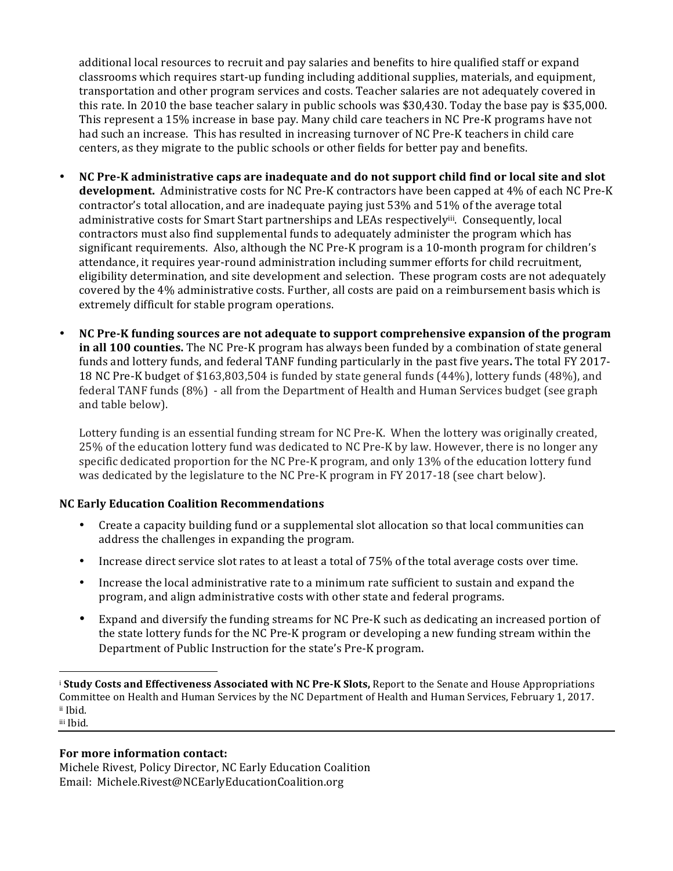additional local resources to recruit and pay salaries and benefits to hire qualified staff or expand classrooms which requires start-up funding including additional supplies, materials, and equipment, transportation and other program services and costs. Teacher salaries are not adequately covered in this rate. In 2010 the base teacher salary in public schools was \$30,430. Today the base pay is \$35,000. This represent a 15% increase in base pay. Many child care teachers in NC Pre-K programs have not had such an increase. This has resulted in increasing turnover of NC Pre-K teachers in child care centers, as they migrate to the public schools or other fields for better pay and benefits.

- **NC Pre-K** administrative caps are inadequate and do not support child find or local site and slot **development.** Administrative costs for NC Pre-K contractors have been capped at 4% of each NC Pre-K contractor's total allocation, and are inadequate paying just  $53\%$  and  $51\%$  of the average total administrative costs for Smart Start partnerships and LEAs respectivelyiii. Consequently, local contractors must also find supplemental funds to adequately administer the program which has significant requirements. Also, although the NC Pre-K program is a 10-month program for children's attendance, it requires year-round administration including summer efforts for child recruitment, eligibility determination, and site development and selection. These program costs are not adequately covered by the 4% administrative costs. Further, all costs are paid on a reimbursement basis which is extremely difficult for stable program operations.
- NC Pre-K funding sources are not adequate to support comprehensive expansion of the program **in all 100 counties.** The NC Pre-K program has always been funded by a combination of state general funds and lottery funds, and federal TANF funding particularly in the past five years. The total FY 2017-18 NC Pre-K budget of \$163,803,504 is funded by state general funds (44%), lottery funds (48%), and federal TANF funds (8%) - all from the Department of Health and Human Services budget (see graph and table below).

Lottery funding is an essential funding stream for NC Pre-K. When the lottery was originally created, 25% of the education lottery fund was dedicated to NC Pre-K by law. However, there is no longer any specific dedicated proportion for the NC Pre-K program, and only 13% of the education lottery fund was dedicated by the legislature to the NC Pre-K program in FY 2017-18 (see chart below).

### **NC Early Education Coalition Recommendations**

- Create a capacity building fund or a supplemental slot allocation so that local communities can address the challenges in expanding the program.
- Increase direct service slot rates to at least a total of 75% of the total average costs over time.
- Increase the local administrative rate to a minimum rate sufficient to sustain and expand the program, and align administrative costs with other state and federal programs.
- Expand and diversify the funding streams for NC Pre-K such as dedicating an increased portion of the state lottery funds for the NC Pre-K program or developing a new funding stream within the Department of Public Instruction for the state's Pre-K program.

#### **For more information contact:**

 

Michele Rivest, Policy Director, NC Early Education Coalition Email: Michele.Rivest@NCEarlyEducationCoalition.org

<sup>&</sup>lt;sup>i</sup> Study Costs and Effectiveness Associated with NC Pre-K Slots, Report to the Senate and House Appropriations Committee on Health and Human Services by the NC Department of Health and Human Services, February 1, 2017. ii Ibid. iii Ibid.